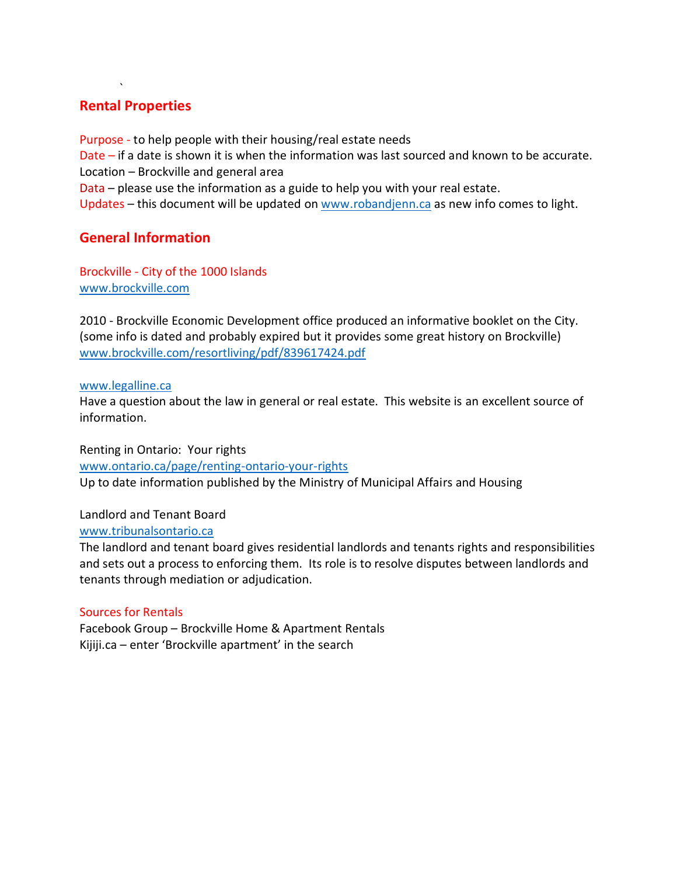# **Rental Properties**

`

Purpose - to help people with their housing/real estate needs Date – if a date is shown it is when the information was last sourced and known to be accurate. Location – Brockville and general area Data – please use the information as a guide to help you with your real estate. Updates – this document will be updated on [www.robandjenn.ca](http://www.robandjenn.ca/) as new info comes to light.

# **General Information**

Brockville - City of the 1000 Islands [www.brockville.com](http://www.brockville.com/)

2010 - Brockville Economic Development office produced an informative booklet on the City. (some info is dated and probably expired but it provides some great history on Brockville) [www.brockville.com/resortliving/pdf/839617424.pdf](http://www.brockville.com/resortliving/pdf/839617424.pdf)

## [www.legalline.ca](http://www.legalline.ca/)

Have a question about the law in general or real estate. This website is an excellent source of information.

Renting in Ontario: Your rights [www.ontario.ca/page/renting-ontario-your-rights](http://www.ontario.ca/page/renting-ontario-your-rights) Up to date information published by the Ministry of Municipal Affairs and Housing

## Landlord and Tenant Board

[www.tribunalsontario.ca](http://www.tribunalsontario.ca/)

The landlord and tenant board gives residential landlords and tenants rights and responsibilities and sets out a process to enforcing them. Its role is to resolve disputes between landlords and tenants through mediation or adjudication.

## Sources for Rentals

Facebook Group – Brockville Home & Apartment Rentals Kijiji.ca – enter 'Brockville apartment' in the search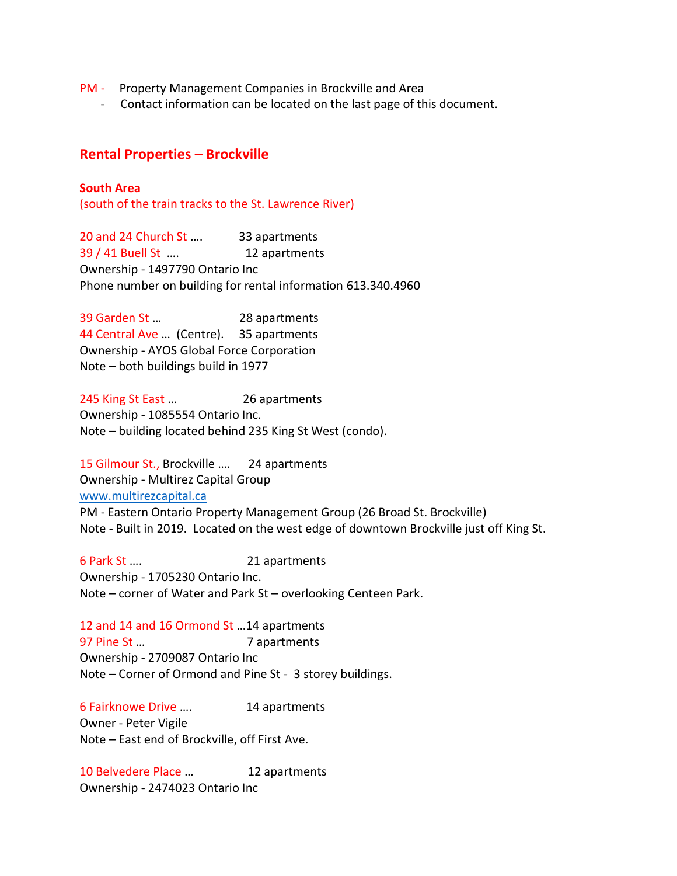- PM Property Management Companies in Brockville and Area
	- Contact information can be located on the last page of this document.

## **Rental Properties – Brockville**

### **South Area**

(south of the train tracks to the St. Lawrence River)

20 and 24 Church St .... 33 apartments 39 / 41 Buell St …. 12 apartments Ownership - 1497790 Ontario Inc Phone number on building for rental information 613.340.4960

39 Garden St … 28 apartments 44 Central Ave … (Centre). 35 apartments Ownership - AYOS Global Force Corporation Note – both buildings build in 1977

245 King St East … 26 apartments Ownership - 1085554 Ontario Inc. Note – building located behind 235 King St West (condo).

15 Gilmour St., Brockville .... 24 apartments Ownership - Multirez Capital Group [www.multirezcapital.ca](http://www.multirezcapital.ca/) PM - Eastern Ontario Property Management Group (26 Broad St. Brockville) Note - Built in 2019. Located on the west edge of downtown Brockville just off King St.

6 Park St …. 21 apartments Ownership - 1705230 Ontario Inc. Note – corner of Water and Park St – overlooking Centeen Park.

12 and 14 and 16 Ormond St …14 apartments 97 Pine St ... **7 apartments** Ownership - 2709087 Ontario Inc Note – Corner of Ormond and Pine St - 3 storey buildings.

6 Fairknowe Drive …. 14 apartments Owner - Peter Vigile Note – East end of Brockville, off First Ave.

10 Belvedere Place ... 12 apartments Ownership - 2474023 Ontario Inc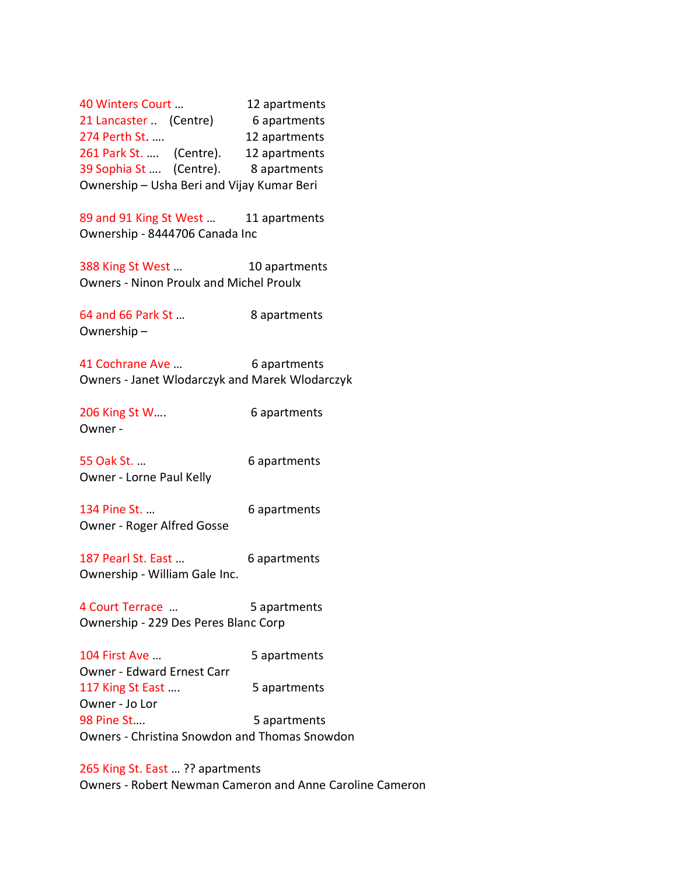40 Winters Court … 12 apartments 21 Lancaster .. (Centre) 6 apartments 274 Perth St. .... 12 apartments 261 Park St. .... (Centre). 12 apartments 39 Sophia St .... (Centre). 8 apartments Ownership – Usha Beri and Vijay Kumar Beri

89 and 91 King St West ... 11 apartments Ownership - 8444706 Canada Inc

388 King St West ... 10 apartments Owners - Ninon Proulx and Michel Proulx

64 and 66 Park St ... 8 apartments Ownership –

41 Cochrane Ave ... 6 apartments Owners - Janet Wlodarczyk and Marek Wlodarczyk

206 King St W.... 6 apartments Owner -

55 Oak St. … 6 apartments Owner - Lorne Paul Kelly

134 Pine St. ... 6 apartments Owner - Roger Alfred Gosse

187 Pearl St. East ... 6 apartments Ownership - William Gale Inc.

4 Court Terrace … 5 apartments Ownership - 229 Des Peres Blanc Corp

104 First Ave ... 5 apartments Owner - Edward Ernest Carr 117 King St East .... 5 apartments Owner - Jo Lor 98 Pine St.... 5 apartments Owners - Christina Snowdon and Thomas Snowdon

265 King St. East … ?? apartments Owners - Robert Newman Cameron and Anne Caroline Cameron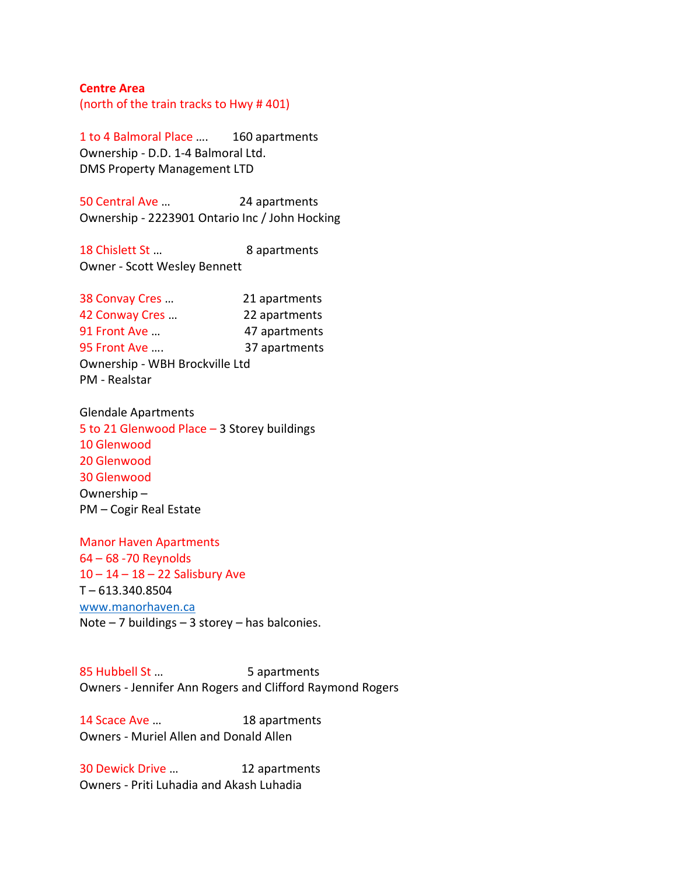#### **Centre Area**

(north of the train tracks to Hwy # 401)

1 to 4 Balmoral Place …. 160 apartments Ownership - D.D. 1-4 Balmoral Ltd. DMS Property Management LTD

50 Central Ave … 24 apartments Ownership - 2223901 Ontario Inc / John Hocking

18 Chislett St ... 8 apartments Owner - Scott Wesley Bennett

| 38 Convay Cres                 | 21 apartments |
|--------------------------------|---------------|
| 42 Conway Cres                 | 22 apartments |
| 91 Front Ave                   | 47 apartments |
| 95 Front Ave                   | 37 apartments |
| Ownership - WBH Brockville Ltd |               |
| PM - Realstar                  |               |

Glendale Apartments 5 to 21 Glenwood Place – 3 Storey buildings 10 Glenwood 20 Glenwood 30 Glenwood Ownership – PM – Cogir Real Estate

Manor Haven Apartments 64 – 68 -70 Reynolds 10 – 14 – 18 – 22 Salisbury Ave T – 613.340.8504 [www.manorhaven.ca](http://www.manorhaven.ca/) Note – 7 buildings – 3 storey – has balconies.

85 Hubbell St ... 5 apartments Owners - Jennifer Ann Rogers and Clifford Raymond Rogers

14 Scace Ave ... 18 apartments Owners - Muriel Allen and Donald Allen

30 Dewick Drive … 12 apartments Owners - Priti Luhadia and Akash Luhadia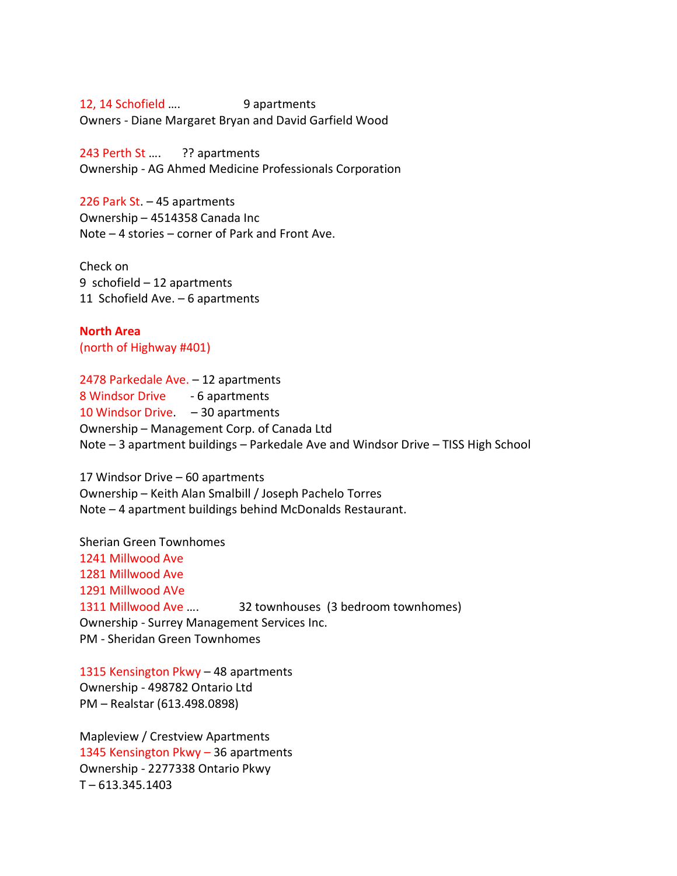12, 14 Schofield .... 9 apartments Owners - Diane Margaret Bryan and David Garfield Wood

243 Perth St .... ?? apartments Ownership - AG Ahmed Medicine Professionals Corporation

226 Park St. – 45 apartments Ownership – 4514358 Canada Inc Note – 4 stories – corner of Park and Front Ave.

Check on 9 schofield – 12 apartments 11 Schofield Ave. – 6 apartments

**North Area** (north of Highway #401)

2478 Parkedale Ave. – 12 apartments 8 Windsor Drive - 6 apartments 10 Windsor Drive. – 30 apartments Ownership – Management Corp. of Canada Ltd Note – 3 apartment buildings – Parkedale Ave and Windsor Drive – TISS High School

17 Windsor Drive – 60 apartments Ownership – Keith Alan Smalbill / Joseph Pachelo Torres Note – 4 apartment buildings behind McDonalds Restaurant.

Sherian Green Townhomes 1241 Millwood Ave 1281 Millwood Ave 1291 Millwood AVe 1311 Millwood Ave …. 32 townhouses (3 bedroom townhomes) Ownership - Surrey Management Services Inc. PM - Sheridan Green Townhomes

1315 Kensington Pkwy – 48 apartments Ownership - 498782 Ontario Ltd PM – Realstar (613.498.0898)

Mapleview / Crestview Apartments 1345 Kensington Pkwy – 36 apartments Ownership - 2277338 Ontario Pkwy T – 613.345.1403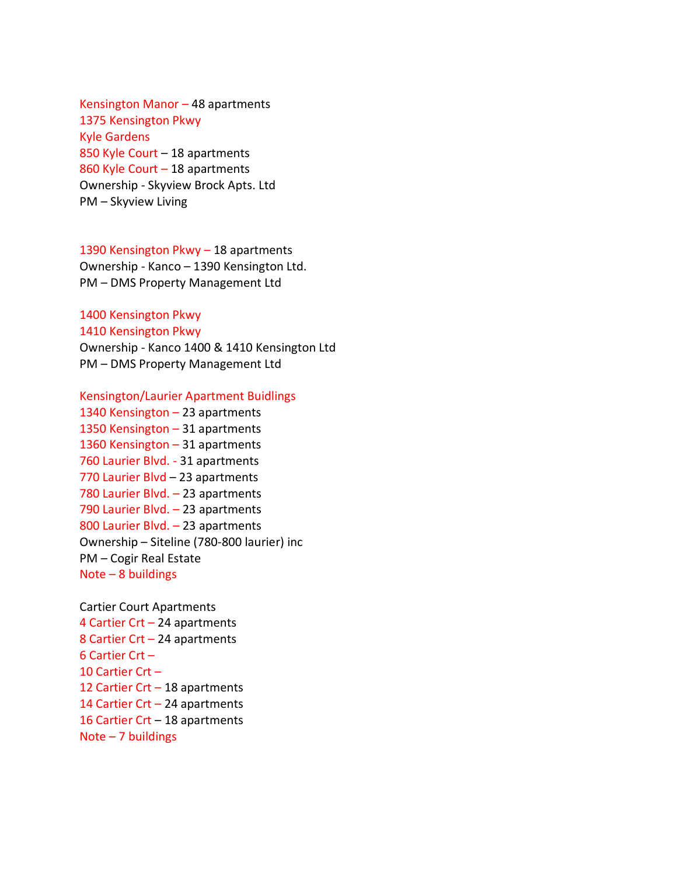Kensington Manor – 48 apartments 1375 Kensington Pkwy Kyle Gardens 850 Kyle Court – 18 apartments 860 Kyle Court – 18 apartments Ownership - Skyview Brock Apts. Ltd PM – Skyview Living

1390 Kensington Pkwy – 18 apartments Ownership - Kanco – 1390 Kensington Ltd. PM – DMS Property Management Ltd

### 1400 Kensington Pkwy 1410 Kensington Pkwy

Ownership - Kanco 1400 & 1410 Kensington Ltd PM – DMS Property Management Ltd

#### Kensington/Laurier Apartment Buidlings

1340 Kensington – 23 apartments 1350 Kensington – 31 apartments 1360 Kensington – 31 apartments 760 Laurier Blvd. - 31 apartments 770 Laurier Blvd – 23 apartments 780 Laurier Blvd. – 23 apartments 790 Laurier Blvd. – 23 apartments 800 Laurier Blvd. – 23 apartments Ownership – Siteline (780-800 laurier) inc PM – Cogir Real Estate Note – 8 buildings

Cartier Court Apartments 4 Cartier Crt – 24 apartments 8 Cartier Crt – 24 apartments 6 Cartier Crt – 10 Cartier Crt – 12 Cartier Crt – 18 apartments 14 Cartier Crt – 24 apartments 16 Cartier Crt – 18 apartments Note – 7 buildings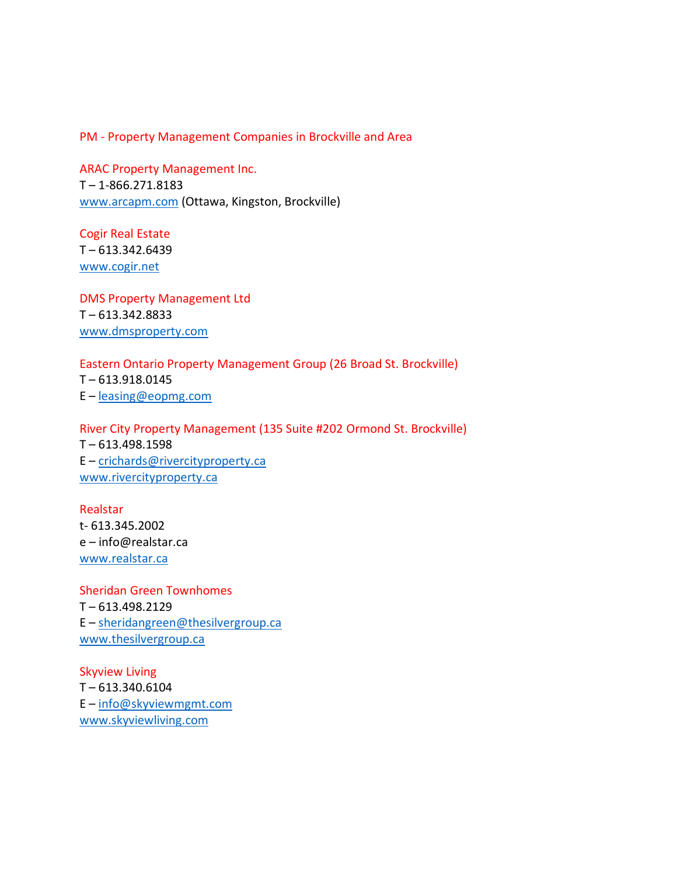PM - Property Management Companies in Brockville and Area

ARAC Property Management Inc. T – 1-866.271.8183 [www.arcapm.com](http://www.arcapm.com/) (Ottawa, Kingston, Brockville)

Cogir Real Estate T – 613.342.6439 [www.cogir.net](http://www.cogir.net/)

DMS Property Management Ltd T – 613.342.8833 [www.dmsproperty.com](http://www.dmsproperty.com/)

Eastern Ontario Property Management Group (26 Broad St. Brockville) T – 613.918.0145 E – [leasing@eopmg.com](mailto:leasing@eopmg.com)

River City Property Management (135 Suite #202 Ormond St. Brockville) T – 613.498.1598 E – [crichards@rivercityproperty.ca](mailto:crichards@rivercityproperty.ca) [www.rivercityproperty.ca](http://www.rivercityproperty.ca/)

Realstar t- 613.345.2002 e – info@realstar.ca [www.realstar.ca](http://www.realstar.ca/)

Sheridan Green Townhomes T – 613.498.2129 E – [sheridangreen@thesilvergroup.ca](mailto:sheridangreen@thesilvergroup.ca) [www.thesilvergroup.ca](http://www.thesilvergroup.ca/)

Skyview Living T – 613.340.6104 E – [info@skyviewmgmt.com](mailto:info@skyviewmgmt.com) [www.skyviewliving.com](http://www.skyviewliving.com/)